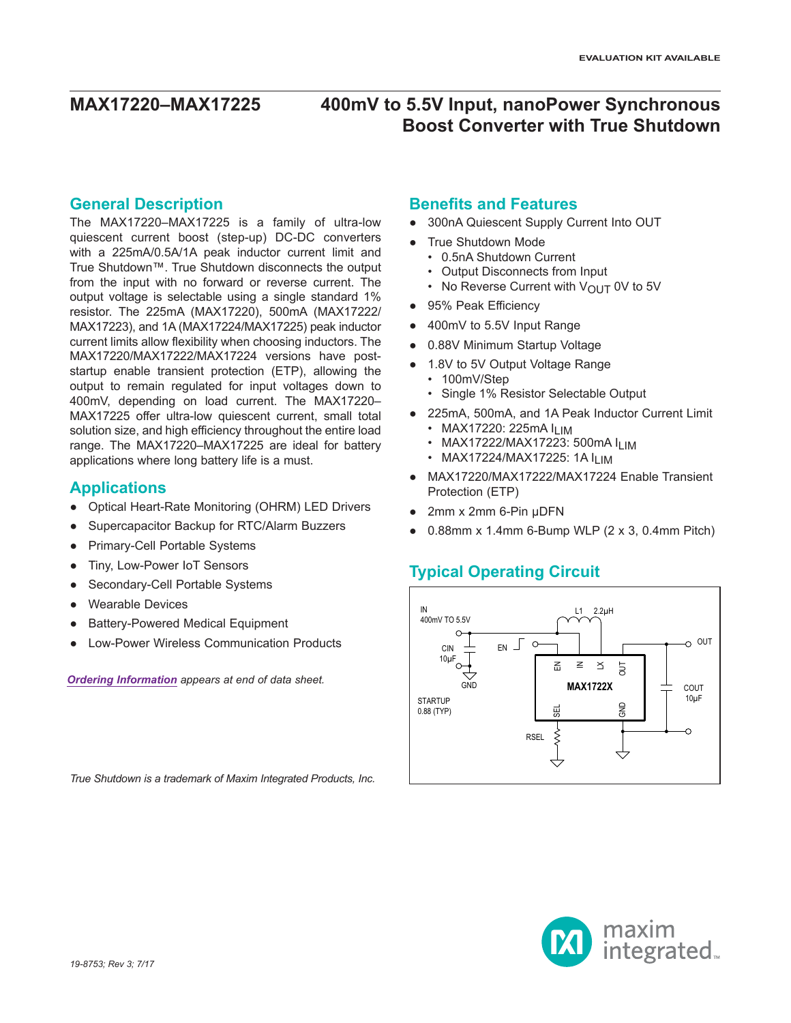### **General Description**

The MAX17220–MAX17225 is a family of ultra-low quiescent current boost (step-up) DC-DC converters with a 225mA/0.5A/1A peak inductor current limit and True Shutdown™. True Shutdown disconnects the output from the input with no forward or reverse current. The output voltage is selectable using a single standard 1% resistor. The 225mA (MAX17220), 500mA (MAX17222/ MAX17223), and 1A (MAX17224/MAX17225) peak inductor current limits allow flexibility when choosing inductors. The MAX17220/MAX17222/MAX17224 versions have poststartup enable transient protection (ETP), allowing the output to remain regulated for input voltages down to 400mV, depending on load current. The MAX17220– MAX17225 offer ultra-low quiescent current, small total solution size, and high efficiency throughout the entire load range. The MAX17220–MAX17225 are ideal for battery applications where long battery life is a must.

### **Applications**

- Optical Heart-Rate Monitoring (OHRM) LED Drivers
- Supercapacitor Backup for RTC/Alarm Buzzers
- Primary-Cell Portable Systems
- Tiny, Low-Power IoT Sensors
- Secondary-Cell Portable Systems
- **Wearable Devices**
- **Battery-Powered Medical Equipment**
- **I ow-Power Wireless Communication Products**

*True Shutdown is a trademark of Maxim Integrated Products, Inc.*

*[Ordering Information](#page-21-0) appears at end of data sheet.*

### **Benefits and Features**

- 300nA Quiescent Supply Current Into OUT
- True Shutdown Mode
	- 0.5nA Shutdown Current
	- Output Disconnects from Input
	- No Reverse Current with  $V_{\text{OUT}}$  0V to 5V
- 95% Peak Efficiency
- 400mV to 5.5V Input Range
- 0.88V Minimum Startup Voltage
- 1.8V to 5V Output Voltage Range
	- 100mV/Step
	- Single 1% Resistor Selectable Output
- 225mA, 500mA, and 1A Peak Inductor Current Limit
	- MAX17220: 225mA ILIM
	- MAX17222/MAX17223: 500mA ILIM • MAX17224/MAX17225: 1A I<sub>LIM</sub>
- MAX17220/MAX17222/MAX17224 Enable Transient Protection (ETP)
- 2mm x 2mm 6-Pin μDFN
- $0.88$ mm x 1.4mm 6-Bump WLP (2 x 3, 0.4mm Pitch)

### **Typical Operating Circuit**



maxim integrated<sub>\*</sub>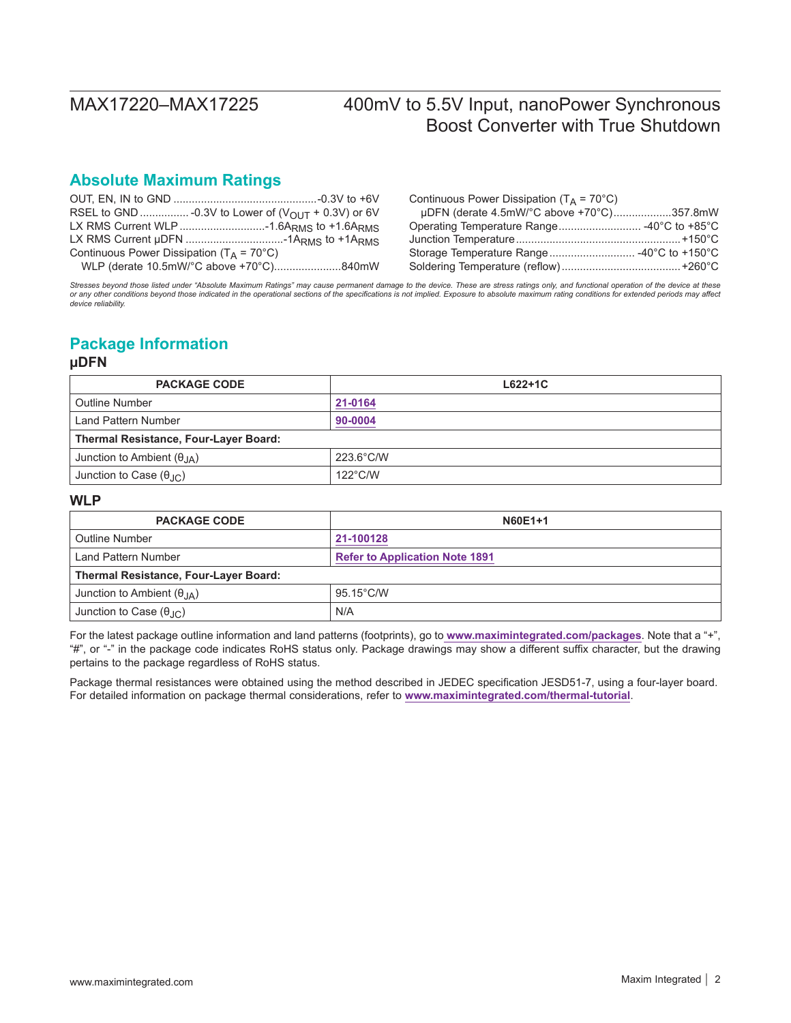### **Absolute Maximum Ratings**

|                                                      | Continuous Power Dissipation ( $T_A = 70^{\circ}$ C) |
|------------------------------------------------------|------------------------------------------------------|
|                                                      | uDFN (derate 4.5mW/°C above +70°C)357.8mW            |
|                                                      |                                                      |
|                                                      |                                                      |
| Continuous Power Dissipation ( $T_A = 70^{\circ}$ C) | Storage Temperature Range -40°C to +150°C            |
| WLP (derate 10.5mW/°C above +70°C)840mW              |                                                      |

*Stresses beyond those listed under "Absolute Maximum Ratings" may cause permanent damage to the device. These are stress ratings only, and functional operation of the device at these*  or any other conditions beyond those indicated in the operational sections of the specifications is not implied. Exposure to absolute maximum rating conditions for extended periods may affect<br>device reliability.

## **Package Information**

### **µDFN**

| <b>PACKAGE CODE</b>                          | $L622+1C$           |  |  |  |  |
|----------------------------------------------|---------------------|--|--|--|--|
| <b>Outline Number</b>                        | 21-0164             |  |  |  |  |
| Land Pattern Number                          | 90-0004             |  |  |  |  |
| <b>Thermal Resistance, Four-Layer Board:</b> |                     |  |  |  |  |
| Junction to Ambient $(\theta_{JA})$          | $223.6^{\circ}$ C/W |  |  |  |  |
| Junction to Case $(\theta_{\text{AC}})$      | $122^{\circ}$ C/W   |  |  |  |  |

### **WLP**

| <b>PACKAGE CODE</b>                          | N60E1+1                               |  |  |  |  |
|----------------------------------------------|---------------------------------------|--|--|--|--|
| Outline Number                               | 21-100128                             |  |  |  |  |
| Land Pattern Number                          | <b>Refer to Application Note 1891</b> |  |  |  |  |
| <b>Thermal Resistance, Four-Layer Board:</b> |                                       |  |  |  |  |
| Junction to Ambient $(\theta_{IA})$          | $95.15^{\circ}$ C/W                   |  |  |  |  |
| Junction to Case $(\theta_{\text{AC}})$      | N/A                                   |  |  |  |  |

For the latest package outline information and land patterns (footprints), go to **[www.maximintegrated.com/packages](http://www.maximintegrated.com/packages)**. Note that a "+", "#", or "-" in the package code indicates RoHS status only. Package drawings may show a different suffix character, but the drawing pertains to the package regardless of RoHS status.

Package thermal resistances were obtained using the method described in JEDEC specification JESD51-7, using a four-layer board. For detailed information on package thermal considerations, refer to **[www.maximintegrated.com/thermal-tutorial](http://www.maximintegrated.com/thermal-tutorial)**.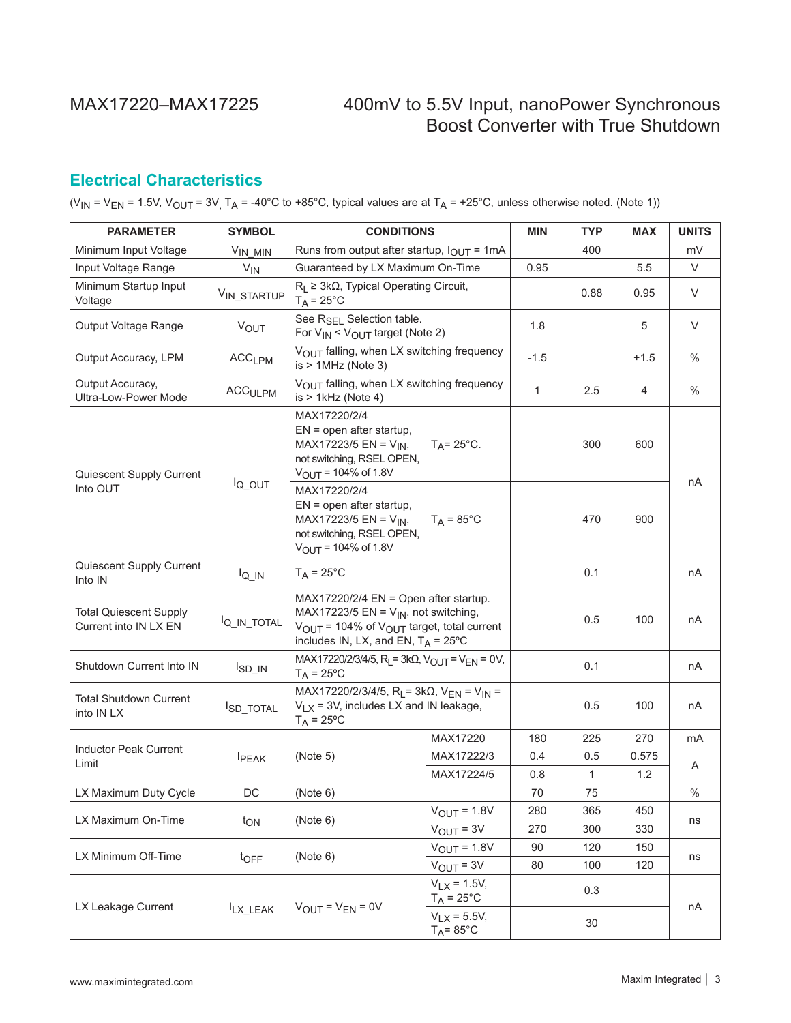## <span id="page-2-0"></span>**Electrical Characteristics**

(V<sub>IN</sub> = V<sub>EN</sub> = 1.5V, V<sub>OUT</sub> = 3V<sub>,</sub> T<sub>A</sub> = -40°C to +85°C, typical values are at T<sub>A</sub> = +25°C, unless otherwise noted. (Note 1))

| <b>PARAMETER</b>                                       | <b>SYMBOL</b>                  | <b>CONDITIONS</b>                                                                                                                                                                                       |                                                 | <b>MIN</b>   | <b>TYP</b>   | <b>MAX</b> | <b>UNITS</b> |  |
|--------------------------------------------------------|--------------------------------|---------------------------------------------------------------------------------------------------------------------------------------------------------------------------------------------------------|-------------------------------------------------|--------------|--------------|------------|--------------|--|
| Minimum Input Voltage                                  | VIN MIN                        | Runs from output after startup, $I_{OUT} = 1mA$                                                                                                                                                         |                                                 |              | 400          |            | mV           |  |
| Input Voltage Range                                    | $V_{IN}$                       | Guaranteed by LX Maximum On-Time                                                                                                                                                                        |                                                 | 0.95         |              | 5.5        | V            |  |
| Minimum Startup Input<br>Voltage                       | VIN_STARTUP                    | $R_L \geq 3k\Omega$ , Typical Operating Circuit,<br>$T_A = 25^{\circ}C$                                                                                                                                 |                                                 |              | 0.88         | 0.95       | V            |  |
| Output Voltage Range                                   | <b>VOUT</b>                    | See R <sub>SEL</sub> Selection table.<br>For $V_{IN}$ < $V_{OUT}$ target (Note 2)                                                                                                                       |                                                 | 1.8          |              | 5          | V            |  |
| Output Accuracy, LPM                                   | ACC <sub>LPM</sub>             | $V_{\text{OUT}}$ falling, when LX switching frequency<br>$is > 1$ MHz (Note 3)                                                                                                                          |                                                 | $-1.5$       |              | $+1.5$     | $\%$         |  |
| Output Accuracy,<br>Ultra-Low-Power Mode               | $\mathsf{ACC}_{\mathsf{ULPM}}$ | VOUT falling, when LX switching frequency<br>$is > 1$ kHz (Note 4)                                                                                                                                      |                                                 | $\mathbf{1}$ | 2.5          | 4          | $\%$         |  |
| Quiescent Supply Current                               |                                | MAX17220/2/4<br>$EN = open$ after startup,<br>MAX17223/5 EN = $V_{IN}$ ,<br>not switching, RSEL OPEN,<br>$V_{OUT}$ = 104% of 1.8V                                                                       | $T_A = 25^{\circ}$ C.                           |              | 300          | 600        |              |  |
| Into OUT                                               | $I_{Q_$ OUT                    | MAX17220/2/4<br>$EN = open$ after startup,<br>MAX17223/5 EN = $V_{IN}$ ,<br>not switching, RSEL OPEN,<br>$V_{OUT} = 104\% \text{ of } 1.8V$                                                             | $T_A = 85^{\circ}$ C                            |              | 470          | 900        | пA           |  |
| Quiescent Supply Current<br>Into IN                    | $I_{Q \_l N}$                  | $T_A = 25^{\circ}C$                                                                                                                                                                                     |                                                 |              | 0.1          |            | nA           |  |
| <b>Total Quiescent Supply</b><br>Current into IN LX EN | <sup>I</sup> Q_IN_TOTAL        | MAX17220/2/4 EN = Open after startup.<br>MAX17223/5 EN = $V_{IN}$ , not switching,<br>$V_{\text{OUT}}$ = 104% of $V_{\text{OUT}}$ target, total current<br>includes IN, LX, and EN, $T_A = 25^{\circ}C$ |                                                 |              | 0.5          | 100        | nA           |  |
| Shutdown Current Into IN                               | $I_{SD_IN}$                    | MAX17220/2/3/4/5, R <sub>L</sub> = 3kQ, V <sub>OUT</sub> = V <sub>EN</sub> = 0V,<br>$T_A = 25$ °C                                                                                                       |                                                 |              | 0.1          |            | nA           |  |
| <b>Total Shutdown Current</b><br>into IN LX            | <b>ISD_TOTAL</b>               | MAX17220/2/3/4/5, R <sub>L</sub> = 3k $\Omega$ , V <sub>EN</sub> = V <sub>IN</sub> =<br>$V_{LX}$ = 3V, includes LX and IN leakage,<br>$T_A = 25^{\circ}C$                                               |                                                 |              | 0.5          | 100        | nA           |  |
|                                                        |                                |                                                                                                                                                                                                         | MAX17220                                        | 180          | 225          | 270        | mA           |  |
| <b>Inductor Peak Current</b><br>Limit                  | <b>I</b> PEAK                  | (Note 5)                                                                                                                                                                                                | MAX17222/3                                      | 0.4          | 0.5          | 0.575      | A            |  |
|                                                        |                                |                                                                                                                                                                                                         | MAX17224/5                                      | 0.8          | $\mathbf{1}$ | $1.2$      |              |  |
| LX Maximum Duty Cycle                                  | DC                             | (Note 6)                                                                                                                                                                                                |                                                 | 70           | 75           |            | $\%$         |  |
| LX Maximum On-Time                                     |                                | (Note 6)                                                                                                                                                                                                | $V_{OUT} = 1.8V$                                | 280          | 365          | 450        | ns           |  |
|                                                        | t <sub>ON</sub>                |                                                                                                                                                                                                         | $V_{OUT} = 3V$                                  | 270          | 300          | 330        |              |  |
| LX Minimum Off-Time                                    |                                | (Note 6)                                                                                                                                                                                                | $V_{OUT} = 1.8V$                                | 90           | 120          | 150        | ns           |  |
|                                                        | $t_{\text{OFF}}$               |                                                                                                                                                                                                         | $V_{OUT} = 3V$                                  | 80           | 100          | 120        |              |  |
| LX Leakage Current                                     | ILX_LEAK                       | $V_{OUT} = V_{EN} = 0V$                                                                                                                                                                                 | $V_{1}$ $\times$ = 1.5V,<br>$T_A = 25^{\circ}C$ |              | 0.3          |            | nA           |  |
|                                                        |                                |                                                                                                                                                                                                         | $V_{LX} = 5.5V,$<br>$T_A = 85^\circ C$          |              | 30           |            |              |  |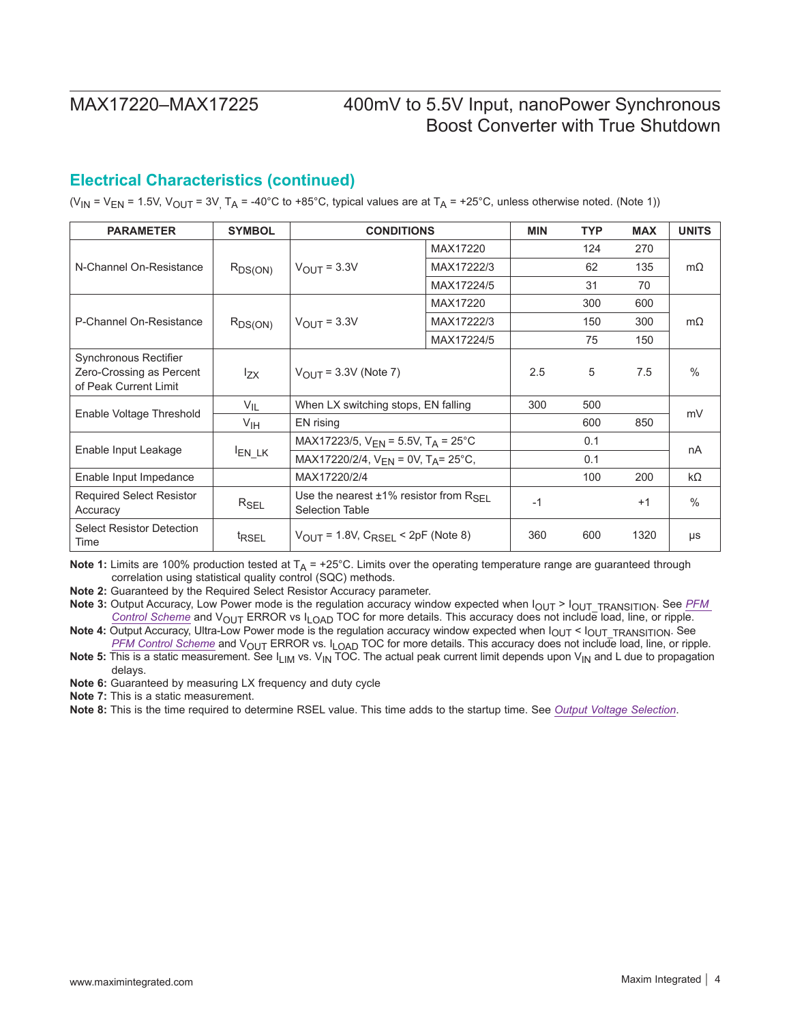### **Electrical Characteristics (continued)**

(V<sub>IN</sub> = V<sub>EN</sub> = 1.5V, V<sub>OUT</sub> = 3V<sub>,</sub> T<sub>A</sub> = -40°C to +85°C, typical values are at T<sub>A</sub> = +25°C, unless otherwise noted. (Note 1))

| <b>PARAMETER</b>                                                           | <b>SYMBOL</b>     | <b>CONDITIONS</b>                                                               |            | <b>MIN</b> | TYP | <b>MAX</b> | <b>UNITS</b>  |
|----------------------------------------------------------------------------|-------------------|---------------------------------------------------------------------------------|------------|------------|-----|------------|---------------|
|                                                                            |                   |                                                                                 | MAX17220   |            | 124 | 270        |               |
| N-Channel On-Resistance                                                    | $R_{DS(ON)}$      | $V_{\text{OUT}} = 3.3V$                                                         | MAX17222/3 |            | 62  | 135        | $m\Omega$     |
|                                                                            |                   |                                                                                 | MAX17224/5 |            | 31  | 70         |               |
|                                                                            |                   |                                                                                 | MAX17220   |            | 300 | 600        | $m\Omega$     |
| P-Channel On-Resistance                                                    | $R_{DS(ON)}$      | $V_{\text{OUT}} = 3.3V$                                                         | MAX17222/3 |            | 150 | 300        |               |
|                                                                            |                   |                                                                                 | MAX17224/5 |            | 75  | 150        |               |
| Synchronous Rectifier<br>Zero-Crossing as Percent<br>of Peak Current Limit | $I_{ZX}$          | $V_{OIII}$ = 3.3V (Note 7)                                                      |            | 2.5        | 5   | 7.5        | $\frac{0}{0}$ |
|                                                                            | $V_{IL}$          | When LX switching stops, EN falling                                             |            | 300        | 500 |            | mV            |
| Enable Voltage Threshold                                                   | V <sub>IH</sub>   | EN rising                                                                       |            |            | 600 | 850        |               |
|                                                                            |                   | MAX17223/5, $V_{EN}$ = 5.5V, T <sub>A</sub> = 25°C                              |            |            | 0.1 |            |               |
| Enable Input Leakage                                                       | $I_{EN_LK}$       | MAX17220/2/4, $V_{FN} = 0V$ , $T_A = 25^{\circ}C$ ,                             |            |            | 0.1 |            | nA            |
| Enable Input Impedance                                                     |                   | MAX17220/2/4                                                                    |            |            | 100 | 200        | $k\Omega$     |
| <b>Required Select Resistor</b><br>Accuracy                                | $R_{SEL}$         | Use the nearest $\pm 1\%$ resistor from $R_{\rm SFI}$<br><b>Selection Table</b> |            | $-1$       |     | $+1$       | $\frac{0}{0}$ |
| <b>Select Resistor Detection</b><br>Time                                   | <sup>t</sup> RSEL | $V_{\text{OUT}}$ = 1.8V, $C_{\text{RSEI}}$ < 2pF (Note 8)                       |            | 360        | 600 | 1320       | μs            |

**Note 1:** Limits are 100% production tested at  $T_A$  = +25°C. Limits over the operating temperature range are guaranteed through correlation using statistical quality control (SQC) methods.

**Note 2:** Guaranteed by the Required Select Resistor Accuracy parameter.

Note 3: Output Accuracy, Low Power mode is the regulation accuracy window expected when  $I_{OUT} > I_{OUT\_TRANSITION}$ . See *PFM [Control Scheme](#page-10-0)* and V<sub>OUT</sub> ERROR vs I<sub>LOAD</sub> TOC for more details. This accuracy does not include load, line, or ripple.

**Note 4:** Output Accuracy, Ultra-Low Power mode is the regulation accuracy window expected when I<sub>OUT</sub> < I<sub>OUT\_</sub>TRANSITION. See *[PFM Control Scheme](#page-10-0)* and VOUT ERROR vs. ILOAD TOC for more details. This accuracy does not include load, line, or ripple.

Note 5: This is a static measurement. See I<sub>LIM</sub> vs. V<sub>IN</sub> TOC. The actual peak current limit depends upon V<sub>IN</sub> and L due to propagation delays.

**Note 6:** Guaranteed by measuring LX frequency and duty cycle

**Note 7:** This is a static measurement.

**Note 8:** This is the time required to determine RSEL value. This time adds to the startup time. See *[Output Voltage Selection](#page-12-0)*.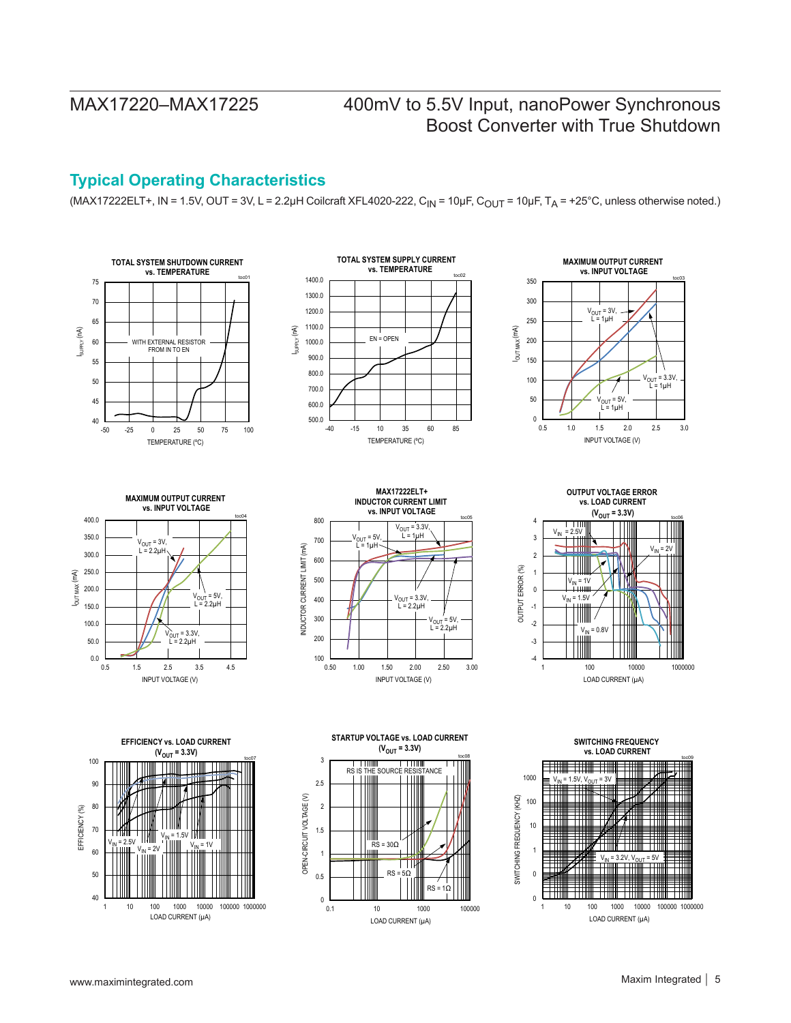## <span id="page-4-0"></span>**Typical Operating Characteristics**

(MAX17222ELT+, IN = 1.5V, OUT = 3V, L = 2.2µH Coilcraft XFL4020-222, C<sub>IN</sub> = 10µF, C<sub>OUT</sub> = 10µF, T<sub>A</sub> = +25°C, unless otherwise noted.)

















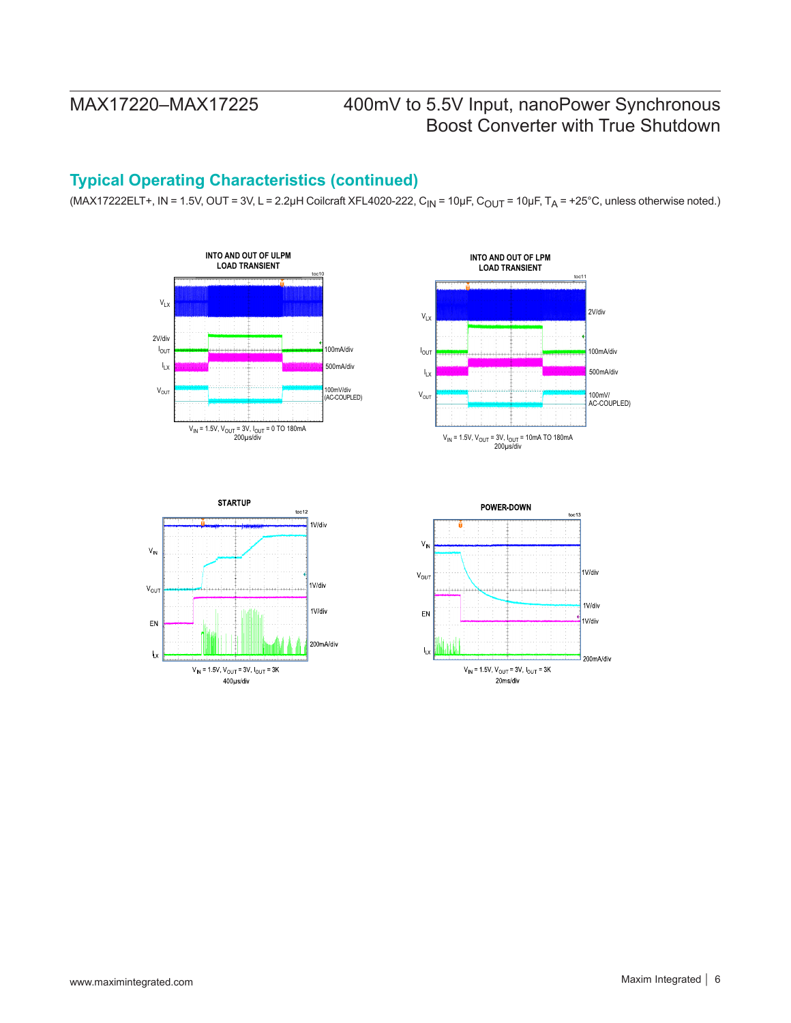## **Typical Operating Characteristics (continued)**

 $(MAX17222ELT+, IN = 1.5V, OUT = 3V, L = 2.2\mu H$  Coilcraft XFL4020-222, C<sub>IN</sub> = 10 $\mu$ F, C<sub>OUT</sub> = 10 $\mu$ F, T<sub>A</sub> = +25°C, unless otherwise noted.)







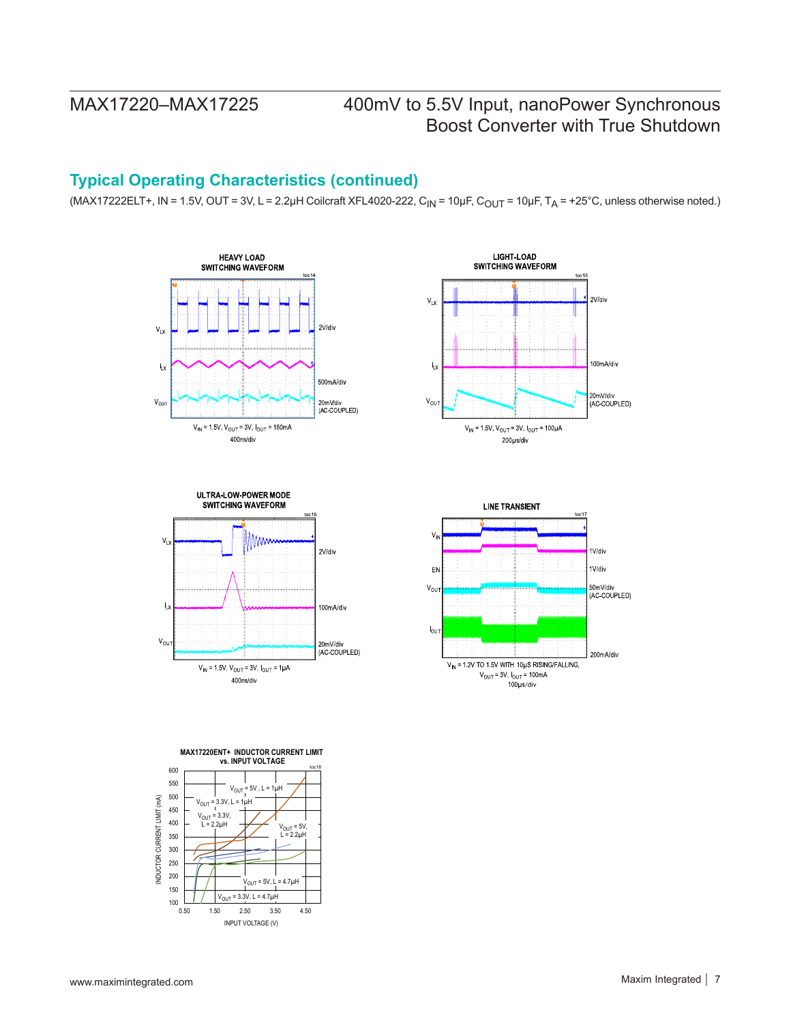## **Typical Operating Characteristics (continued)**

(MAX17222ELT+, IN = 1.5V, OUT = 3V, L = 2.2µH Coilcraft XFL4020-222, C<sub>IN</sub> = 10µF, C<sub>OUT</sub> = 10µF, T<sub>A</sub> = +25°C, unless otherwise noted.)









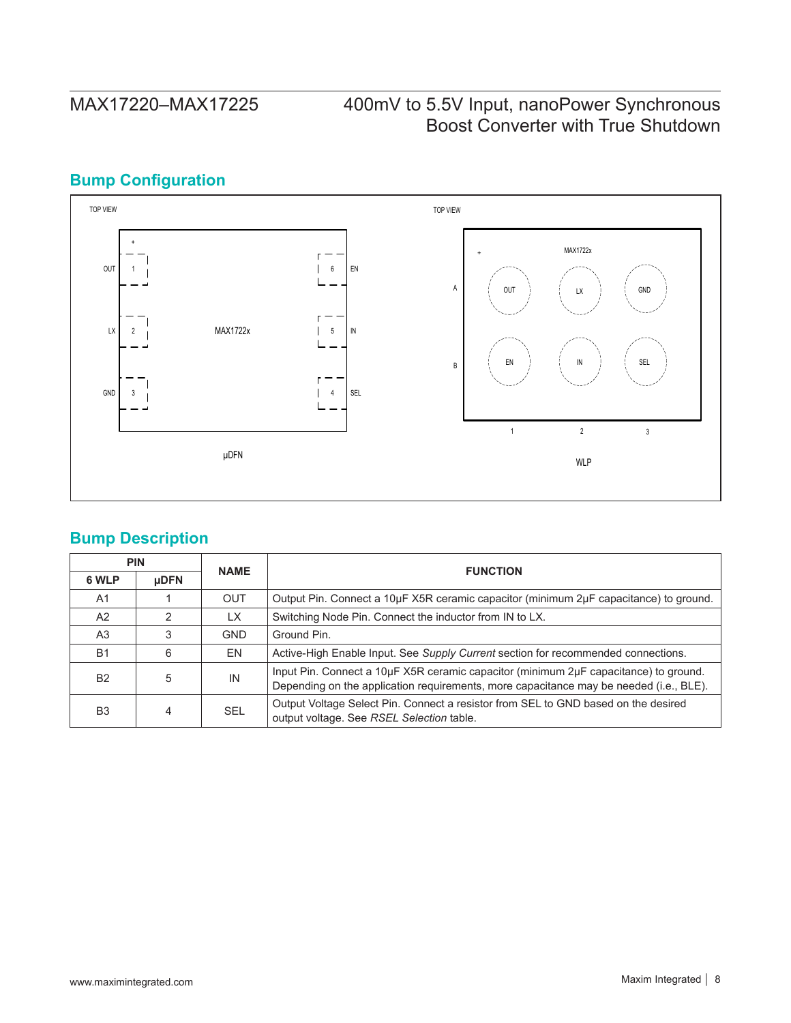## **Bump Configuration**



## **Bump Description**

|                | <b>PIN</b>  | <b>NAME</b> |                                                                                                                                                                                |
|----------------|-------------|-------------|--------------------------------------------------------------------------------------------------------------------------------------------------------------------------------|
| 6 WLP          | <b>µDFN</b> |             | <b>FUNCTION</b>                                                                                                                                                                |
| A <sub>1</sub> |             | <b>OUT</b>  | Output Pin. Connect a 10µF X5R ceramic capacitor (minimum 2µF capacitance) to ground.                                                                                          |
| A2             |             | LX.         | Switching Node Pin. Connect the inductor from IN to LX.                                                                                                                        |
| A <sub>3</sub> |             | <b>GND</b>  | Ground Pin.                                                                                                                                                                    |
| B <sub>1</sub> | 6           | EN          | Active-High Enable Input. See Supply Current section for recommended connections.                                                                                              |
| <b>B2</b>      | 5           | IN          | Input Pin. Connect a 10µF X5R ceramic capacitor (minimum 2µF capacitance) to ground.<br>Depending on the application requirements, more capacitance may be needed (i.e., BLE). |
| B <sub>3</sub> | 4           | <b>SEL</b>  | Output Voltage Select Pin. Connect a resistor from SEL to GND based on the desired<br>output voltage. See RSEL Selection table.                                                |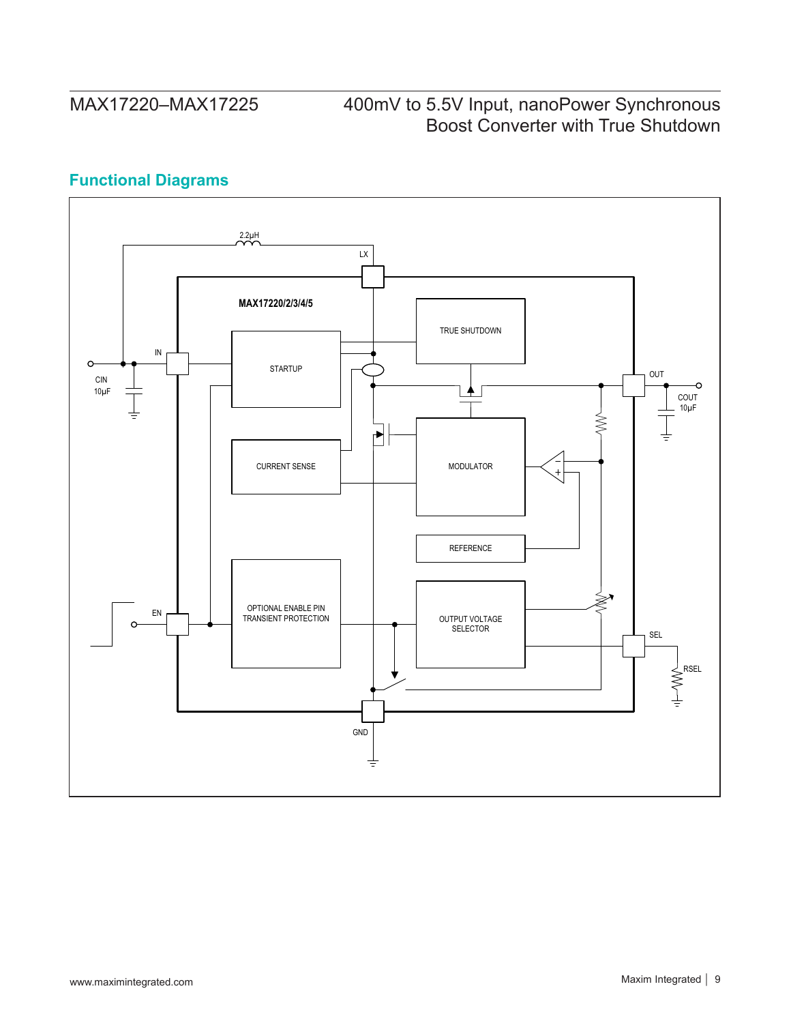## **Functional Diagrams**

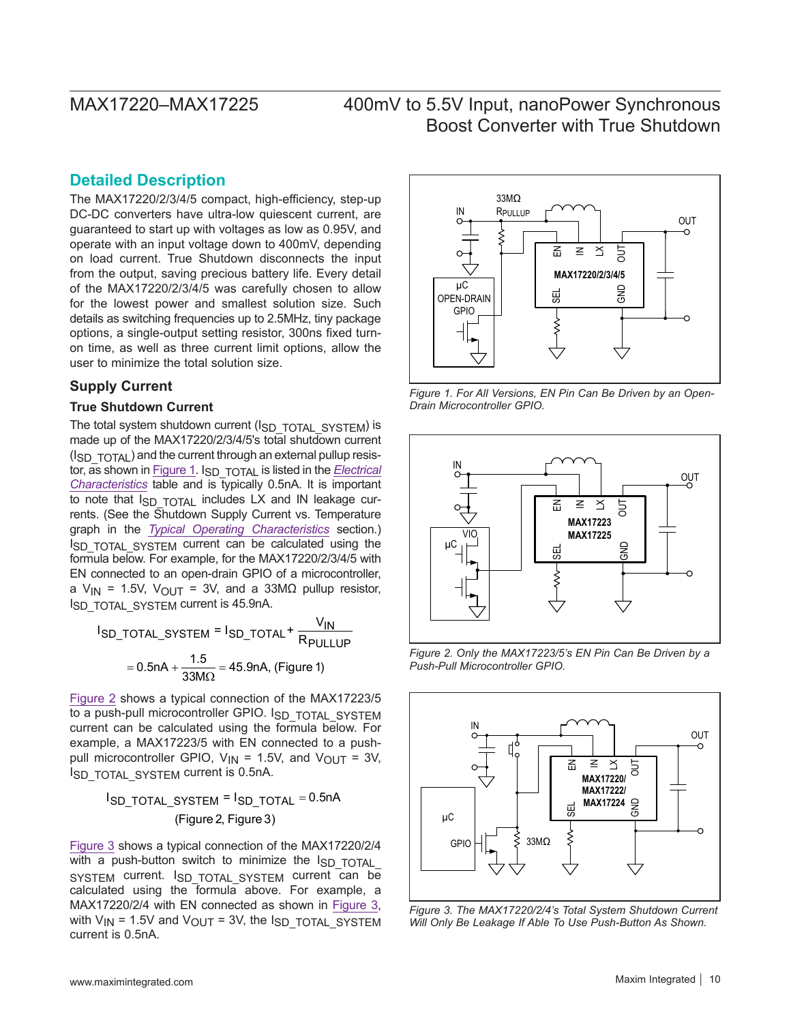### **Detailed Description**

The MAX17220/2/3/4/5 compact, high-efficiency, step-up DC-DC converters have ultra-low quiescent current, are guaranteed to start up with voltages as low as 0.95V, and operate with an input voltage down to 400mV, depending on load current. True Shutdown disconnects the input from the output, saving precious battery life. Every detail of the MAX17220/2/3/4/5 was carefully chosen to allow for the lowest power and smallest solution size. Such details as switching frequencies up to 2.5MHz, tiny package options, a single-output setting resistor, 300ns fixed turnon time, as well as three current limit options, allow the user to minimize the total solution size.

### **Supply Current**

### **True Shutdown Current**

The total system shutdown current (ISD\_TOTAL\_SYSTEM) is made up of the MAX17220/2/3/4/5's total shutdown current (ISD TOTAL) and the current through an external pullup resis-tor, as shown in [Figure 1](#page-9-0). I<sub>SD</sub> TOTAL is listed in the *[Electrical](#page-2-0) [Characteristics](#page-2-0)* table and is typically 0.5nA. It is important to note that I<sub>SD</sub> TOTAL includes LX and IN leakage currents. (See the Shutdown Supply Current vs. Temperature graph in the *[Typical Operating Characteristics](#page-4-0)* section.) ISD TOTAL SYSTEM current can be calculated using the formula below. For example, for the MAX17220/2/3/4/5 with EN connected to an open-drain GPIO of a microcontroller, a V<sub>IN</sub> = 1.5V, V<sub>OUT</sub> = 3V, and a 33M $\Omega$  pullup resistor, ISD\_TOTAL\_SYSTEM current is 45.9nA.

$$
I_{\text{SD\_TOTAL\_S}YSTEM} = I_{\text{SD\_TOTAL}} + \frac{V_{\text{IN}}}{R_{\text{PULLUP}}}
$$

$$
= 0.5 \text{nA} + \frac{1.5}{33 \text{M}\Omega} = 45.9 \text{nA}, \text{ (Figure 1)}
$$

[Figure 2](#page-9-1) shows a typical connection of the MAX17223/5 to a push-pull microcontroller GPIO. ISD TOTAL SYSTEM current can be calculated using the formula below. For example, a MAX17223/5 with EN connected to a pushpull microcontroller GPIO,  $V_{IN} = 1.5V$ , and  $V_{OUT} = 3V$ , ISD\_TOTAL\_SYSTEM current is 0.5nA.

$$
I_{\text{SD\_TOTAL\_SYSTEM}} = I_{\text{SD\_TOTAL}} = 0.5 \text{nA}
$$
  
(Figure 2, Figure 3)

[Figure 3](#page-9-2) shows a typical connection of the MAX17220/2/4 with a push-button switch to minimize the  $I_{SD}$  TOTAL SYSTEM current. ISD\_TOTAL\_SYSTEM current can be calculated using the formula above. For example, a MAX17220/2/4 with EN connected as shown in [Figure 3](#page-9-2), with  $V_{IN}$  = 1.5V and  $V_{OUT}$  = 3V, the  $I_{SD}$  to TAL SYSTEM current is 0.5nA.

<span id="page-9-0"></span>

*Figure 1. For All Versions, EN Pin Can Be Driven by an Open-Drain Microcontroller GPIO.*

<span id="page-9-1"></span>

<span id="page-9-2"></span>*Figure 2. Only the MAX17223/5's EN Pin Can Be Driven by a Push-Pull Microcontroller GPIO.*



*Figure 3. The MAX17220/2/4's Total System Shutdown Current*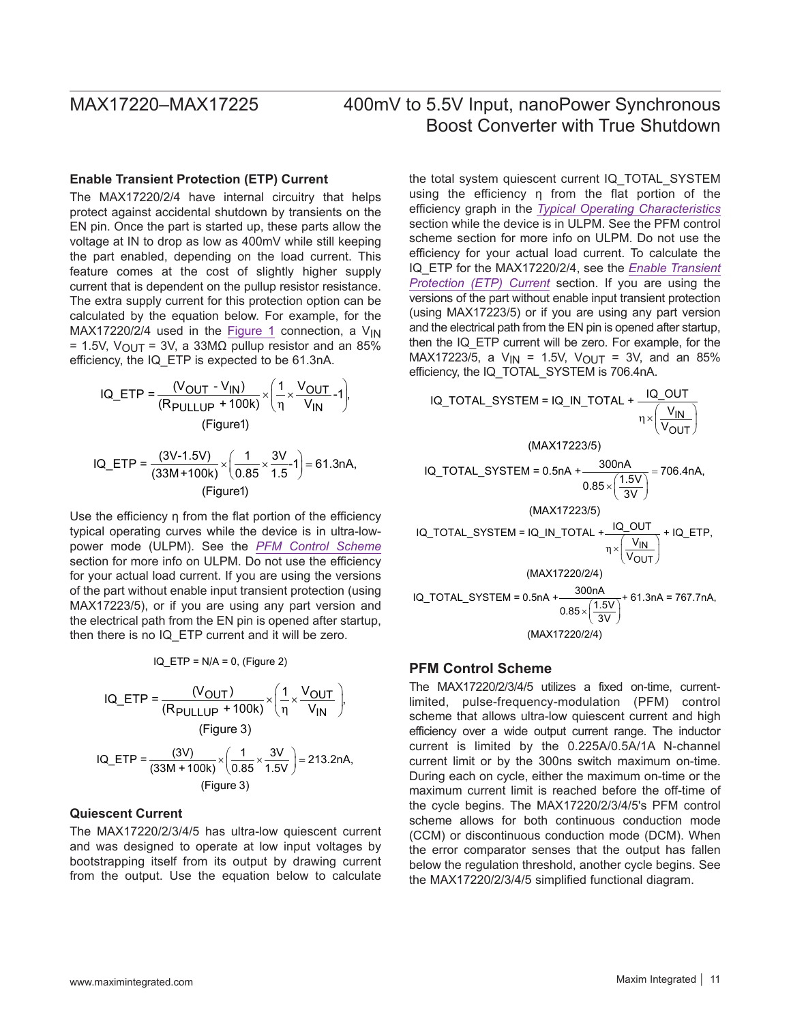### <span id="page-10-1"></span>**Enable Transient Protection (ETP) Current**

The MAX17220/2/4 have internal circuitry that helps protect against accidental shutdown by transients on the EN pin. Once the part is started up, these parts allow the voltage at IN to drop as low as 400mV while still keeping the part enabled, depending on the load current. This feature comes at the cost of slightly higher supply current that is dependent on the pullup resistor resistance. The extra supply current for this protection option can be calculated by the equation below. For example, for the MAX17220/2/4 used in the [Figure 1](#page-9-0) connection, a  $V_{IN}$ = 1.5V, V<sub>OUT</sub> = 3V, a 33M $\Omega$  pullup resistor and an 85% efficiency, the IQ\_ETP is expected to be 61.3nA.

$$
IQ\_ETP = \frac{(V_{OUT} - V_{IN})}{(R_{PULLUP} + 100k)} \times \left(\frac{1}{\eta} \times \frac{V_{OUT}}{V_{IN}} - 1\right),\tag{Figure 1}
$$

$$
IQ\_ETP = \frac{(3V-1.5V)}{(33M+100k)} \times \left(\frac{1}{0.85} \times \frac{3V}{1.5} - 1\right) = 61.3nA,
$$
  
(Figure1)

Use the efficiency η from the flat portion of the efficiency typical operating curves while the device is in ultra-lowpower mode (ULPM). See the *[PFM Control Scheme](#page-10-0)* section for more info on ULPM. Do not use the efficiency for your actual load current. If you are using the versions of the part without enable input transient protection (using MAX17223/5), or if you are using any part version and the electrical path from the EN pin is opened after startup, then there is no IQ\_ETP current and it will be zero.

$$
IQ_ETP = N/A = 0
$$
, (Figure 2)

$$
IQ\_ETP = \frac{(V_{OUT})}{(R_{PULLUP} + 100k)} \times \left(\frac{1}{\eta} \times \frac{V_{OUT}}{V_{IN}}\right),
$$
  
(Figure 3)  

$$
IQ\_ETP = \frac{(3V)}{(33M + 100k)} \times \left(\frac{1}{0.85} \times \frac{3V}{1.5V}\right) = 213.2nA,
$$

(Figure 3)

### **Quiescent Current**

The MAX17220/2/3/4/5 has ultra-low quiescent current and was designed to operate at low input voltages by bootstrapping itself from its output by drawing current from the output. Use the equation below to calculate

the total system quiescent current IQ\_TOTAL\_SYSTEM using the efficiency η from the flat portion of the efficiency graph in the *[Typical Operating Characteristics](#page-4-0)* section while the device is in ULPM. See the PFM control scheme section for more info on ULPM. Do not use the efficiency for your actual load current. To calculate the IQ\_ETP for the MAX17220/2/4, see the *[Enable Transient](#page-10-1)  [Protection \(ETP\) Current](#page-10-1)* section. If you are using the versions of the part without enable input transient protection (using MAX17223/5) or if you are using any part version and the electrical path from the EN pin is opened after startup, then the IQ\_ETP current will be zero. For example, for the MAX17223/5, a  $V_{IN}$  = 1.5V,  $V_{OUT}$  = 3V, and an 85% efficiency, the IQ\_TOTAL\_SYSTEM is 706.4nA.

IQ\_TOTAL\_SYSTEM = IQ\_N\_TOTAL + 
$$
\frac{IQ_OUT}{\eta \times (\frac{V_{IN}}{V_{OUT}})}
$$
  
\n(MAX17223/5)  
\nIQ\_TOTAL\_SYSTEM = 0.5nA +  $\frac{300nA}{0.85 \times (\frac{1.5V}{3V})}$  = 706.4nA,  
\n(MAX17223/5)  
\nIQ\_TOTAL\_SYSTEM = IQ\_IN\_TOTAL +  $\frac{IQ_OUT}{\eta \times (\frac{V_{IN}}{V_{OUT}})}$  + IQ\_ETP,  
\n(MAX17220/2/4)  
\nIQ\_TOTAL\_SYSTEM = 0.5nA +  $\frac{300nA}{0.85 \times (\frac{1.5V}{3V})}$  + 61.3nA = 767.7nA,  
\n(MAX17220/2/4)

### <span id="page-10-0"></span>**PFM Control Scheme**

The MAX17220/2/3/4/5 utilizes a fixed on-time, currentlimited, pulse-frequency-modulation (PFM) control scheme that allows ultra-low quiescent current and high efficiency over a wide output current range. The inductor current is limited by the 0.225A/0.5A/1A N-channel current limit or by the 300ns switch maximum on-time. During each on cycle, either the maximum on-time or the maximum current limit is reached before the off-time of the cycle begins. The MAX17220/2/3/4/5's PFM control scheme allows for both continuous conduction mode (CCM) or discontinuous conduction mode (DCM). When the error comparator senses that the output has fallen below the regulation threshold, another cycle begins. See the MAX17220/2/3/4/5 simplified functional diagram.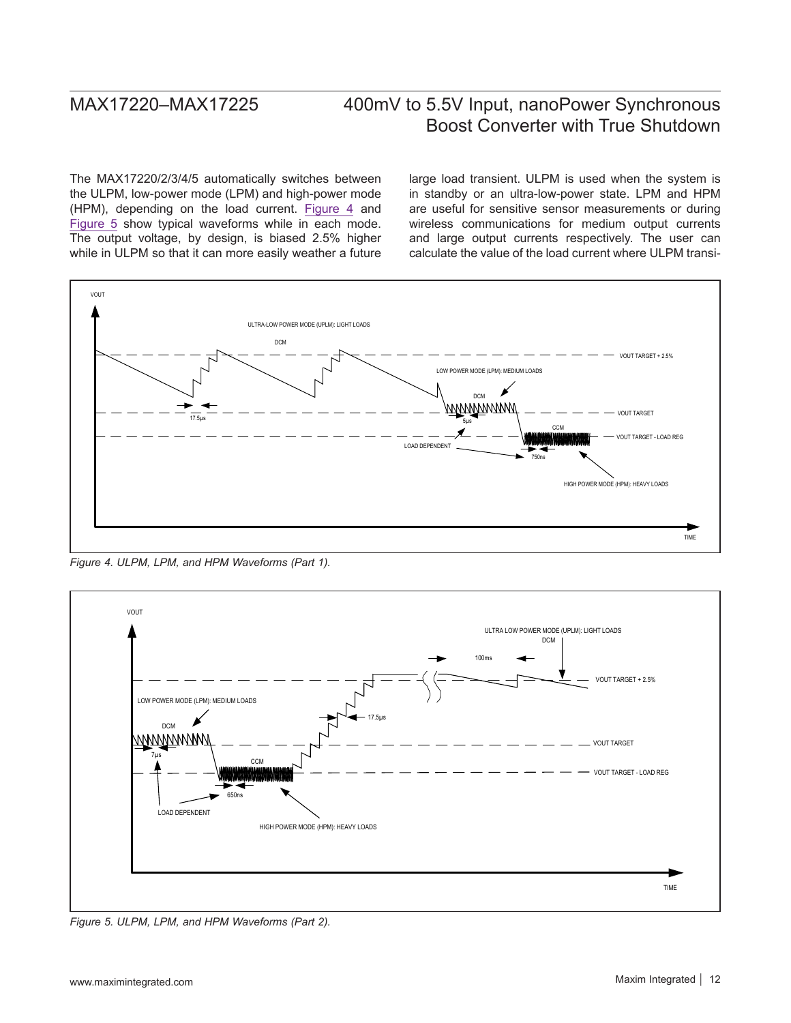The MAX17220/2/3/4/5 automatically switches between the ULPM, low-power mode (LPM) and high-power mode (HPM), depending on the load current. [Figure 4](#page-11-0) and [Figure 5](#page-11-1) show typical waveforms while in each mode. The output voltage, by design, is biased 2.5% higher while in ULPM so that it can more easily weather a future large load transient. ULPM is used when the system is in standby or an ultra-low-power state. LPM and HPM are useful for sensitive sensor measurements or during wireless communications for medium output currents and large output currents respectively. The user can calculate the value of the load current where ULPM transi-

<span id="page-11-0"></span>

*Figure 4. ULPM, LPM, and HPM Waveforms (Part 1).*

<span id="page-11-1"></span>

*Figure 5. ULPM, LPM, and HPM Waveforms (Part 2).*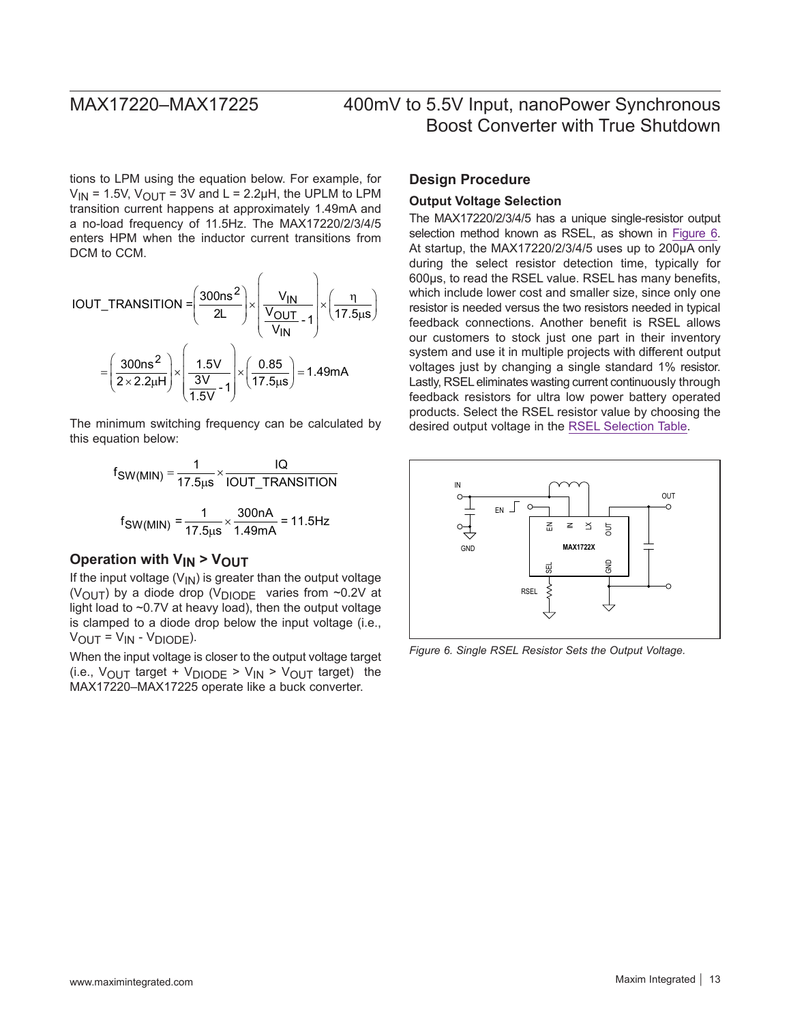tions to LPM using the equation below. For example, for  $V_{IN}$  = 1.5V,  $V_{OUIT}$  = 3V and L = 2.2µH, the UPLM to LPM transition current happens at approximately 1.49mA and a no-load frequency of 11.5Hz. The MAX17220/2/3/4/5 enters HPM when the inductor current transitions from DCM to CCM.

$$
IOUT\_TRANSITION = \left(\frac{300 \text{ns}^2}{2L}\right) \times \left(\frac{V_{IN}}{V_{OUT}}\right) \times \left(\frac{\eta}{17.5 \text{ms}}\right)
$$

$$
= \left(\frac{300 \text{ns}^2}{2 \times 2.2 \text{µH}}\right) \times \left(\frac{1.5 V}{\frac{3V}{1.5 V} - 1}\right) \times \left(\frac{0.85}{17.5 \text{ms}}\right) = 1.49 \text{mA}
$$

The minimum switching frequency can be calculated by this equation below:

$$
f_{SW(MIN)} = \frac{1}{17.5 \mu s} \times \frac{IQ}{IOUT\_TRANSITION}
$$

$$
f_{SW(MIN)} = \frac{1}{17.5 \mu s} \times \frac{300 nA}{1.49 mA} = 11.5 Hz
$$

### **Operation with V<sub>IN</sub> > V<sub>OUT</sub>**

If the input voltage  $(V_{\text{IN}})$  is greater than the output voltage (VOUT) by a diode drop (V<sub>DIODE</sub> varies from  $\sim$ 0.2V at light load to ~0.7V at heavy load), then the output voltage is clamped to a diode drop below the input voltage (i.e.,  $V_{\text{OUIT}} = V_{\text{IN}} - V_{\text{DIODE}}$ ).

When the input voltage is closer to the output voltage target (i.e.,  $V_{\text{OUT}}$  target +  $V_{\text{DIODE}}$  >  $V_{\text{IN}}$  >  $V_{\text{OUT}}$  target) the MAX17220–MAX17225 operate like a buck converter.

### **Design Procedure**

### <span id="page-12-0"></span>**Output Voltage Selection**

The MAX17220/2/3/4/5 has a unique single-resistor output selection method known as RSEL, as shown in [Figure 6](#page-12-1). At startup, the MAX17220/2/3/4/5 uses up to 200µA only during the select resistor detection time, typically for 600µs, to read the RSEL value. RSEL has many benefits, which include lower cost and smaller size, since only one resistor is needed versus the two resistors needed in typical feedback connections. Another benefit is RSEL allows our customers to stock just one part in their inventory system and use it in multiple projects with different output voltages just by changing a single standard 1% resistor. Lastly, RSEL eliminates wasting current continuously through feedback resistors for ultra low power battery operated products. Select the RSEL resistor value by choosing the desired output voltage in the [RSEL Selection Table](#page-13-0).

<span id="page-12-1"></span>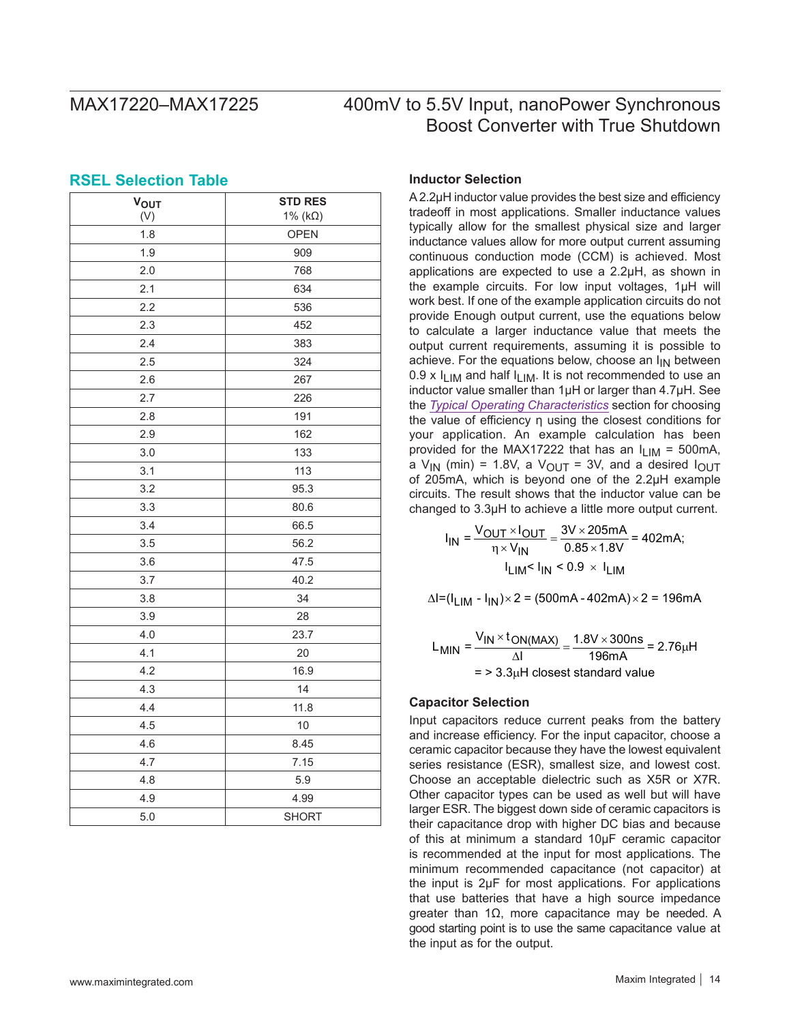### <span id="page-13-0"></span>**RSEL Selection Table**

| <b>VOUT</b><br>(V) | <b>STD RES</b><br>1% ( $k\Omega$ ) |
|--------------------|------------------------------------|
| 1.8                | <b>OPEN</b>                        |
| 1.9                | 909                                |
| 2.0                | 768                                |
| 2.1                | 634                                |
| 2.2                | 536                                |
| 2.3                | 452                                |
| 2.4                | 383                                |
| 2.5                | 324                                |
| 2.6                | 267                                |
| 2.7                | 226                                |
| 2.8                | 191                                |
| 2.9                | 162                                |
| 3.0                | 133                                |
| 3.1                | 113                                |
| 3.2                | 95.3                               |
| 3.3                | 80.6                               |
| 3.4                | 66.5                               |
| 3.5                | 56.2                               |
| 3.6                | 47.5                               |
| 3.7                | 40.2                               |
| 3.8                | 34                                 |
| 3.9                | 28                                 |
| 4.0                | 23.7                               |
| 4.1                | 20                                 |
| 4.2                | 16.9                               |
| 4.3                | 14                                 |
| 4.4                | 11.8                               |
| 4.5                | 10                                 |
| 4.6                | 8.45                               |
| 4.7                | 7.15                               |
| 4.8                | 5.9                                |
| 4.9                | 4.99                               |
| 5.0                | <b>SHORT</b>                       |

### **Inductor Selection**

A 2.2µH inductor value provides the best size and efficiency tradeoff in most applications. Smaller inductance values typically allow for the smallest physical size and larger inductance values allow for more output current assuming continuous conduction mode (CCM) is achieved. Most applications are expected to use a 2.2µH, as shown in the example circuits. For low input voltages, 1µH will work best. If one of the example application circuits do not provide Enough output current, use the equations below to calculate a larger inductance value that meets the output current requirements, assuming it is possible to achieve. For the equations below, choose an  $I_{IN}$  between 0.9 x  $I_{LIM}$  and half  $I_{LIM}$ . It is not recommended to use an inductor value smaller than 1µH or larger than 4.7µH. See the *[Typical Operating Characteristics](#page-4-0)* section for choosing the value of efficiency η using the closest conditions for your application. An example calculation has been provided for the MAX17222 that has an  $I_{LIM}$  = 500mA, a  $V_{IN}$  (min) = 1.8V, a  $V_{OUT}$  = 3V, and a desired  $I_{OUT}$ of 205mA, which is beyond one of the 2.2µH example circuits. The result shows that the inductor value can be changed to 3.3µH to achieve a little more output current.

> $I_{IN} = \frac{V_{OUT} \times I_{OUT}}{ \eta \times V_{IN}} = \frac{3V \times 205 \text{mA}}{0.85 \times 1.8V} = 402 \text{mA};$  $I_{\text{LIM}}$ <  $I_{\text{IN}}$  < 0.9  $\times$   $I_{\text{LIM}}$

 $\Delta I = (I_{LIM} - I_{IN}) \times 2 = (500mA - 402mA) \times 2 = 196mA$ 

$$
L_{\text{MIN}} = \frac{V_{\text{IN}} \times t_{\text{ON}(\text{MAX})}}{\Delta l} = \frac{1.8 \text{V} \times 300 \text{ns}}{196 \text{mA}} = 2.76 \mu\text{H}
$$

$$
= 2.33 \mu\text{H closest standard value}
$$

### **Capacitor Selection**

Input capacitors reduce current peaks from the battery and increase efficiency. For the input capacitor, choose a ceramic capacitor because they have the lowest equivalent series resistance (ESR), smallest size, and lowest cost. Choose an acceptable dielectric such as X5R or X7R. Other capacitor types can be used as well but will have larger ESR. The biggest down side of ceramic capacitors is their capacitance drop with higher DC bias and because of this at minimum a standard 10µF ceramic capacitor is recommended at the input for most applications. The minimum recommended capacitance (not capacitor) at the input is 2µF for most applications. For applications that use batteries that have a high source impedance greater than 1Ω, more capacitance may be needed. A good starting point is to use the same capacitance value at the input as for the output.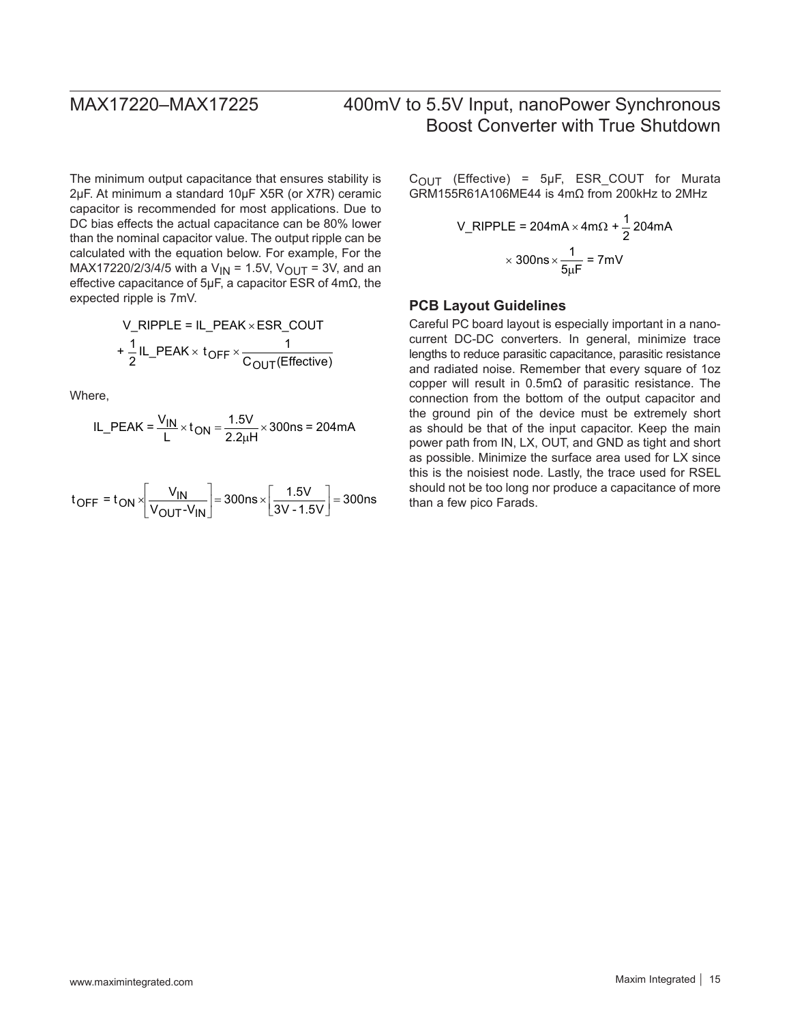The minimum output capacitance that ensures stability is 2µF. At minimum a standard 10µF X5R (or X7R) ceramic capacitor is recommended for most applications. Due to DC bias effects the actual capacitance can be 80% lower than the nominal capacitor value. The output ripple can be calculated with the equation below. For example, For the MAX17220/2/3/4/5 with a  $V_{IN}$  = 1.5V,  $V_{OUT}$  = 3V, and an effective capacitance of 5µF, a capacitor ESR of 4mΩ, the expected ripple is 7mV.

V\_RIPPLE = IL\_PEAK × ESR\_COUT  
+ 
$$
\frac{1}{2}
$$
IL\_PEAK × t<sub>OFF</sub> ×  $\frac{1}{C_{OUT}(Effective)}$ 

Where,

IL\_PEAK = 
$$
\frac{V_{IN}}{L} \times t_{ON} = \frac{1.5V}{2.2 \mu H} \times 300 \text{ns} = 204 \text{mA}
$$

$$
t_{\text{OFF}} = t_{\text{ON}} \times \left[ \frac{V_{\text{IN}}}{V_{\text{OUT}} - V_{\text{IN}}} \right] = 300 \text{ns} \times \left[ \frac{1.5V}{3V - 1.5V} \right] = 300 \text{ns}
$$

 $C_{\text{OUT}}$  (Effective) = 5µF, ESR\_COUT for Murata GRM155R61A106ME44 is 4mΩ from 200kHz to 2MHz

$$
V_RIPPLE = 204mA \times 4m\Omega + \frac{1}{2}204mA
$$

$$
\times 300ns \times \frac{1}{5\mu F} = 7mV
$$

### **PCB Layout Guidelines**

Careful PC board layout is especially important in a nanocurrent DC-DC converters. In general, minimize trace lengths to reduce parasitic capacitance, parasitic resistance and radiated noise. Remember that every square of 1oz copper will result in 0.5mΩ of parasitic resistance. The connection from the bottom of the output capacitor and the ground pin of the device must be extremely short as should be that of the input capacitor. Keep the main power path from IN, LX, OUT, and GND as tight and short as possible. Minimize the surface area used for LX since this is the noisiest node. Lastly, the trace used for RSEL should not be too long nor produce a capacitance of more than a few pico Farads.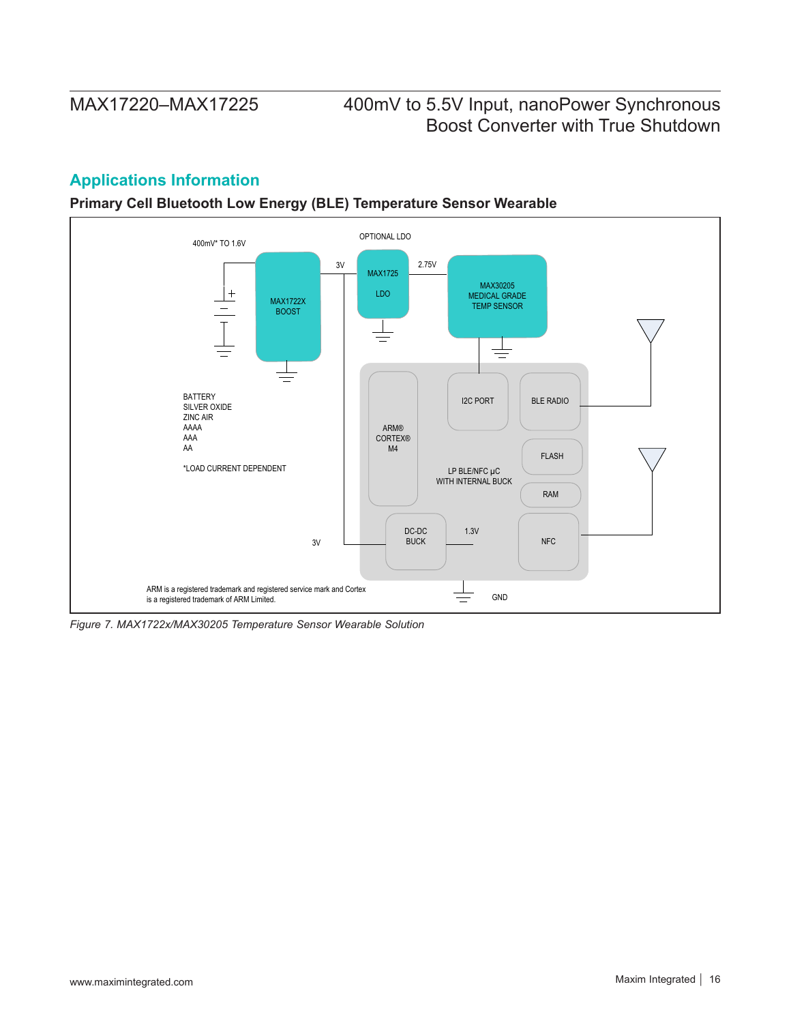## **Applications Information**

**Primary Cell Bluetooth Low Energy (BLE) Temperature Sensor Wearable**



*Figure 7. MAX1722x/MAX30205 Temperature Sensor Wearable Solution*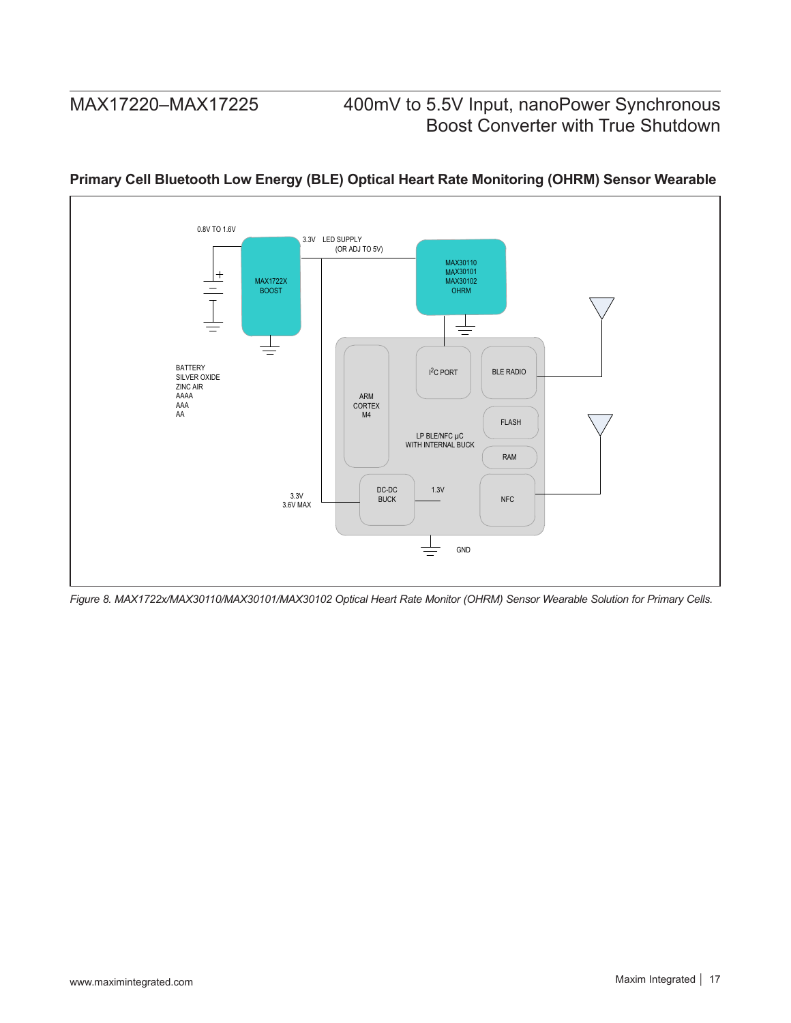

### **Primary Cell Bluetooth Low Energy (BLE) Optical Heart Rate Monitoring (OHRM) Sensor Wearable**

*Figure 8. MAX1722x/MAX30110/MAX30101/MAX30102 Optical Heart Rate Monitor (OHRM) Sensor Wearable Solution for Primary Cells.*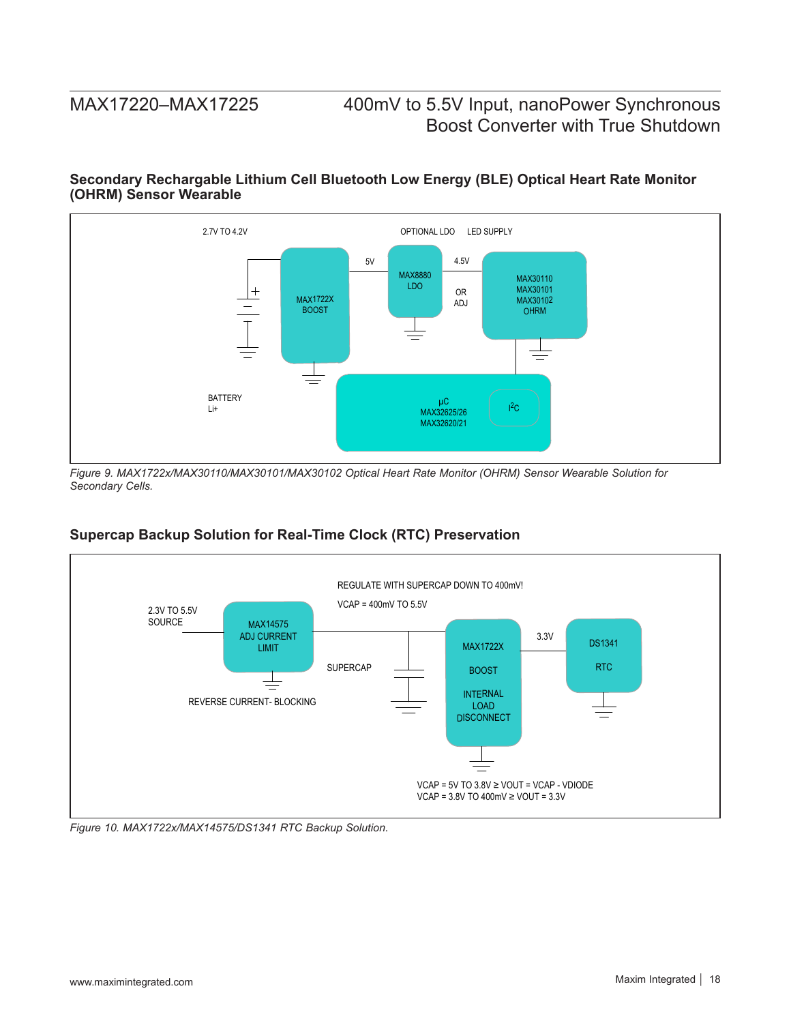### **Secondary Rechargable Lithium Cell Bluetooth Low Energy (BLE) Optical Heart Rate Monitor (OHRM) Sensor Wearable**



*Figure 9. MAX1722x/MAX30110/MAX30101/MAX30102 Optical Heart Rate Monitor (OHRM) Sensor Wearable Solution for Secondary Cells.*

### **Supercap Backup Solution for Real-Time Clock (RTC) Preservation**



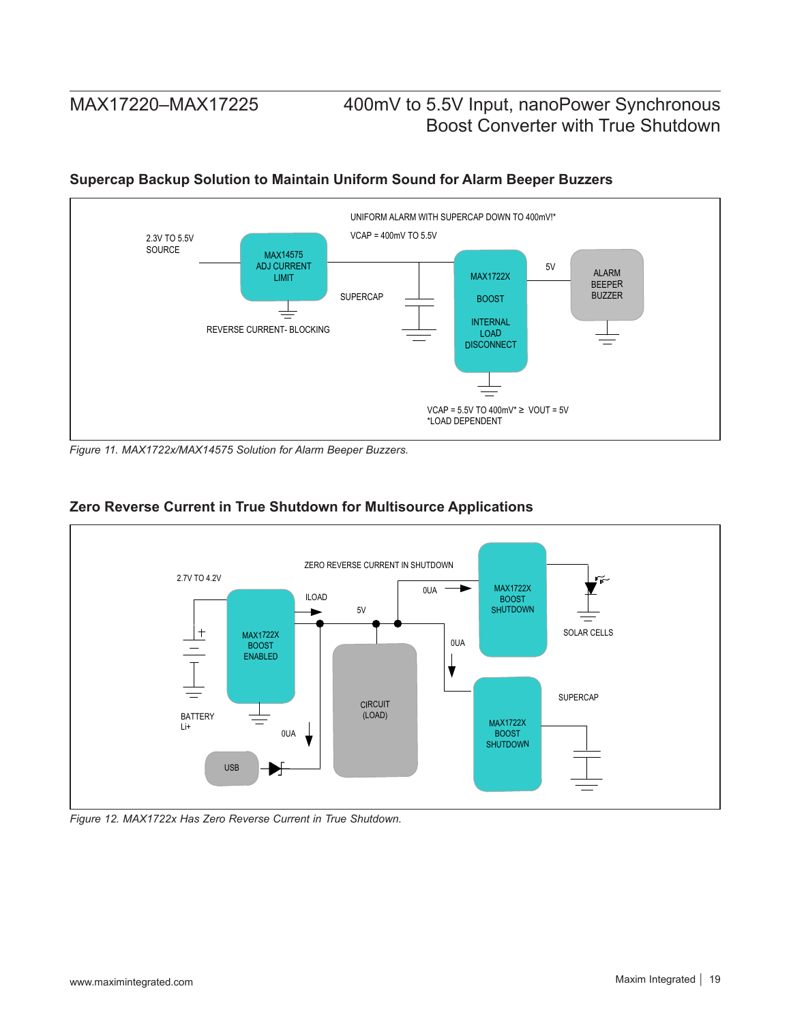

### **Supercap Backup Solution to Maintain Uniform Sound for Alarm Beeper Buzzers**

*Figure 11. MAX1722x/MAX14575 Solution for Alarm Beeper Buzzers.*



### **Zero Reverse Current in True Shutdown for Multisource Applications**

*Figure 12. MAX1722x Has Zero Reverse Current in True Shutdown.*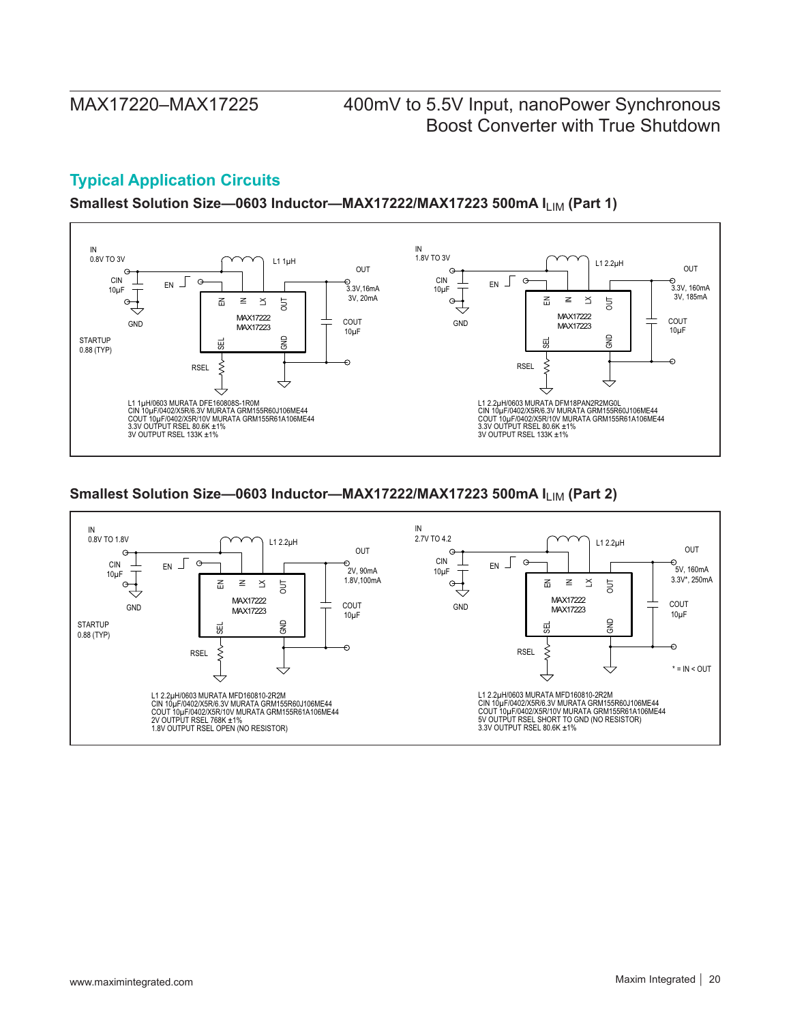## **Typical Application Circuits**

Smallest Solution Size-0603 Inductor-MAX17222/MAX17223 500mA I<sub>LIM</sub> (Part 1)



### **Smallest Solution Size-0603 Inductor-MAX17222/MAX17223 500mA I<sub>LIM</sub> (Part 2)**

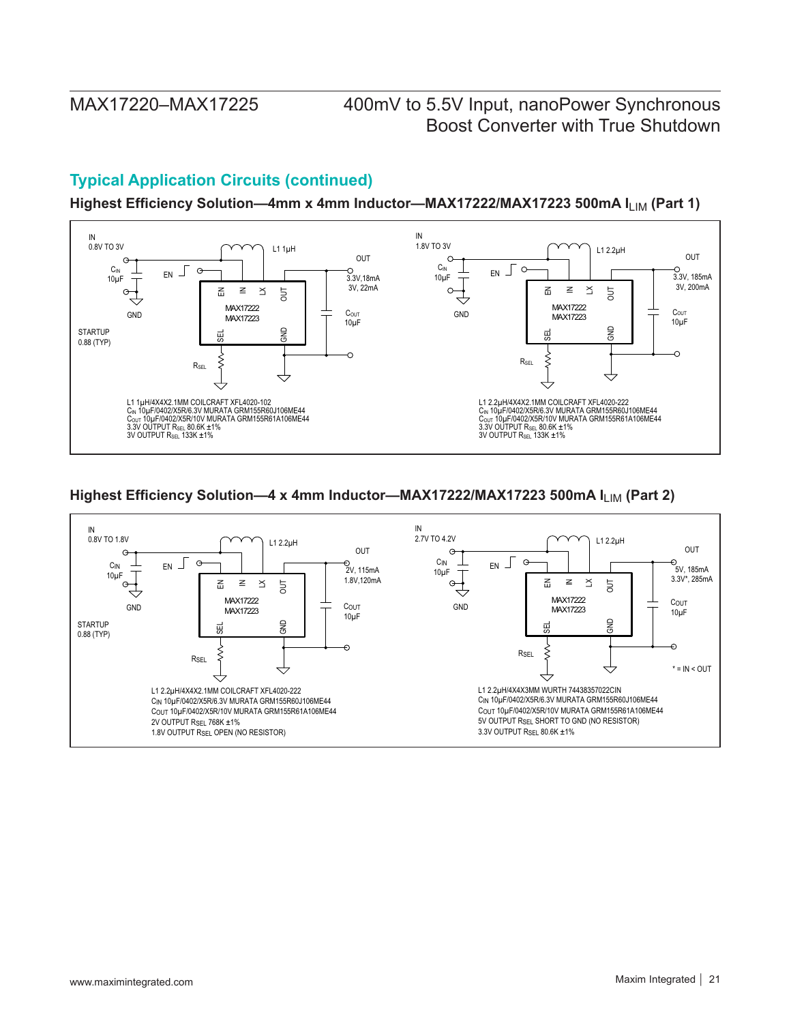## **Typical Application Circuits (continued)**

Highest Efficiency Solution-4mm x 4mm Inductor-MAX17222/MAX17223 500mA I<sub>LIM</sub> (Part 1)



### Highest Efficiency Solution-4 x 4mm Inductor-MAX17222/MAX17223 500mA I<sub>LIM</sub> (Part 2)

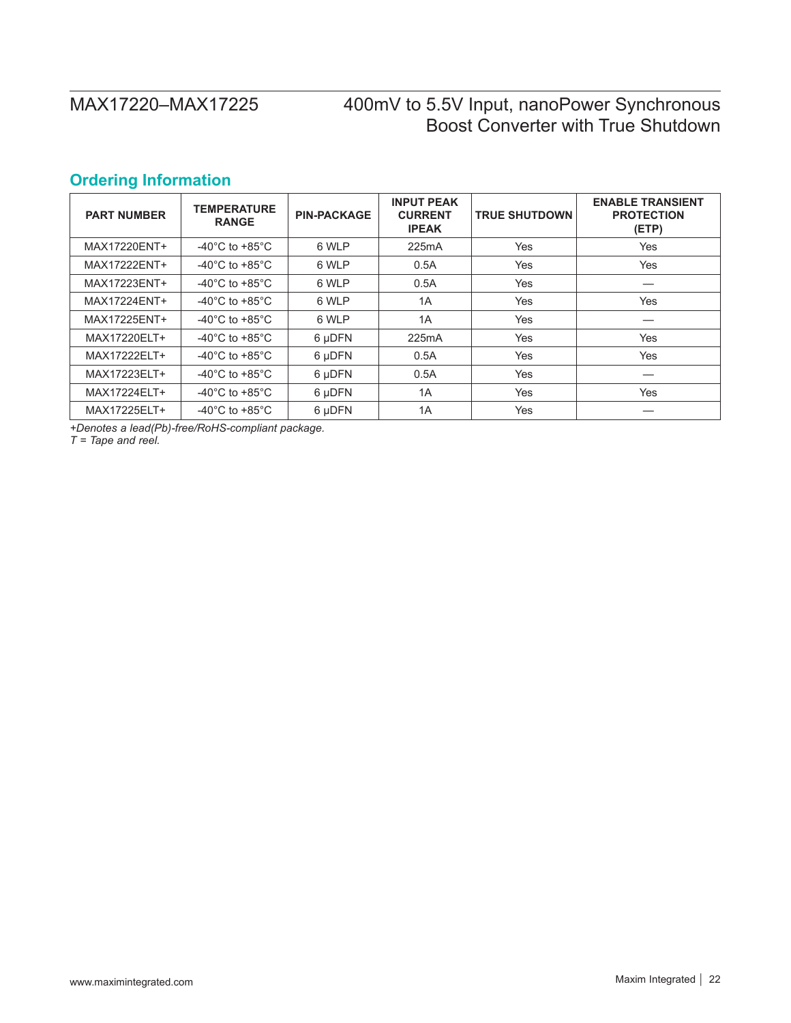## <span id="page-21-0"></span>**Ordering Information**

| <b>PART NUMBER</b> | <b>TEMPERATURE</b><br><b>RANGE</b>   | <b>PIN-PACKAGE</b> | <b>INPUT PEAK</b><br><b>CURRENT</b><br><b>IPEAK</b> | <b>TRUE SHUTDOWN</b> | <b>ENABLE TRANSIENT</b><br><b>PROTECTION</b><br>(ETP) |
|--------------------|--------------------------------------|--------------------|-----------------------------------------------------|----------------------|-------------------------------------------------------|
| MAX17220ENT+       | -40 $^{\circ}$ C to +85 $^{\circ}$ C | 6 WLP              | 225mA                                               | Yes                  | Yes                                                   |
| MAX17222ENT+       | -40 $^{\circ}$ C to +85 $^{\circ}$ C | 6 WLP              | 0.5A                                                | Yes                  | Yes                                                   |
| MAX17223ENT+       | -40 $^{\circ}$ C to +85 $^{\circ}$ C | 6 WLP              | 0.5A                                                | Yes                  |                                                       |
| MAX17224ENT+       | -40 $^{\circ}$ C to +85 $^{\circ}$ C | 6 WLP              | 1A                                                  | Yes                  | <b>Yes</b>                                            |
| MAX17225ENT+       | $-40^{\circ}$ C to $+85^{\circ}$ C   | 6 WLP              | 1A                                                  | Yes                  |                                                       |
| MAX17220ELT+       | $-40^{\circ}$ C to $+85^{\circ}$ C   | 6 µDFN             | 225mA                                               | Yes                  | Yes                                                   |
| MAX17222ELT+       | -40 $^{\circ}$ C to +85 $^{\circ}$ C | 6 µDFN             | 0.5A                                                | Yes                  | <b>Yes</b>                                            |
| MAX17223ELT+       | $-40^{\circ}$ C to $+85^{\circ}$ C   | 6 µDFN             | 0.5A                                                | Yes                  |                                                       |
| MAX17224ELT+       | -40 $^{\circ}$ C to +85 $^{\circ}$ C | 6 µDFN             | 1A                                                  | Yes                  | Yes                                                   |
| MAX17225ELT+       | -40 $^{\circ}$ C to +85 $^{\circ}$ C | 6 µDFN             | 1A                                                  | Yes                  |                                                       |

*+Denotes a lead(Pb)-free/RoHS-compliant package.*

*T = Tape and reel.*